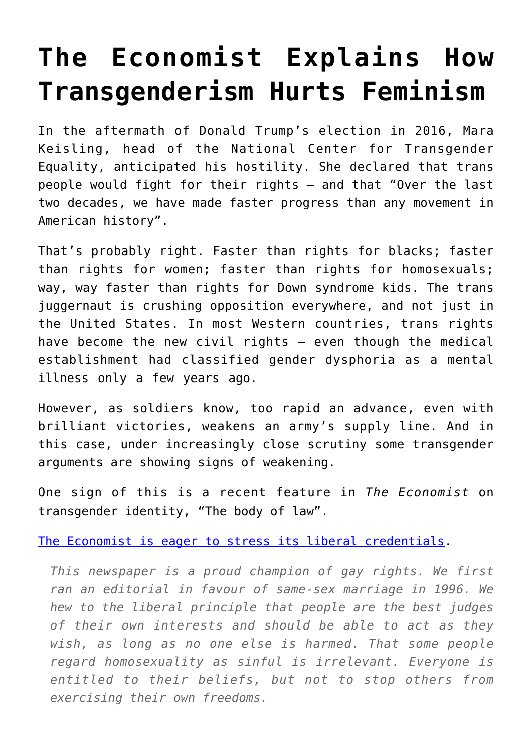## **[The Economist Explains How](https://intellectualtakeout.org/2018/11/the-economist-explains-how-transgenderism-hurts-feminism/) [Transgenderism Hurts Feminism](https://intellectualtakeout.org/2018/11/the-economist-explains-how-transgenderism-hurts-feminism/)**

In the aftermath of Donald Trump's election in 2016, Mara Keisling, head of the National Center for Transgender Equality, anticipated his hostility. She declared that trans people would fight for their rights – and that "Over the last two decades, we have made faster progress than any movement in American history".

That's probably right. Faster than rights for blacks; faster than rights for women; faster than rights for homosexuals; way, way faster than rights for Down syndrome kids. The trans juggernaut is crushing opposition everywhere, and not just in the United States. In most Western countries, trans rights have become the new civil rights – even though the medical establishment had classified gender dysphoria as a mental illness only a few years ago.

However, as soldiers know, too rapid an advance, even with brilliant victories, weakens an army's supply line. And in this case, under increasingly close scrutiny some transgender arguments are showing signs of weakening.

One sign of this is a recent feature in *The Economist* on transgender identity, "The body of law".

[The Economist is eager to stress its liberal credentials.](https://www.economist.com/leaders/2018/10/27/who-decides-your-gender)

*This newspaper is a proud champion of gay rights. We first ran an editorial in favour of same-sex marriage in 1996. We hew to the liberal principle that people are the best judges of their own interests and should be able to act as they wish, as long as no one else is harmed. That some people regard homosexuality as sinful is irrelevant. Everyone is entitled to their beliefs, but not to stop others from exercising their own freedoms.*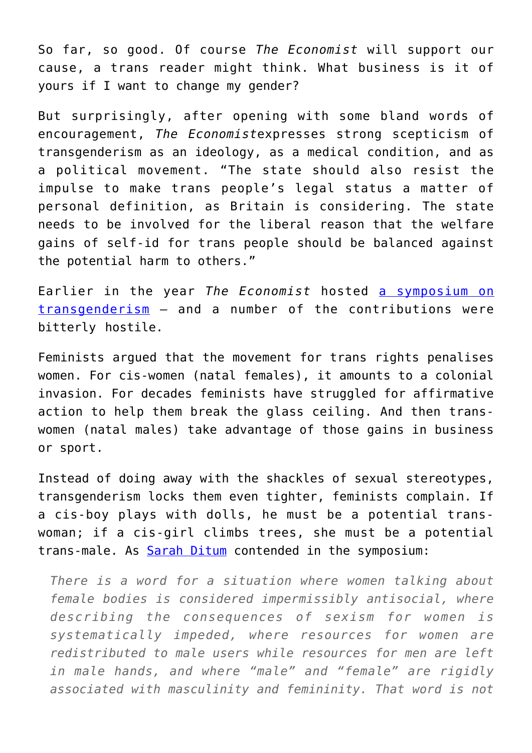So far, so good. Of course *The Economist* will support our cause, a trans reader might think. What business is it of yours if I want to change my gender?

But surprisingly, after opening with some bland words of encouragement, *The Economist*expresses strong scepticism of transgenderism as an ideology, as a medical condition, and as a political movement. "The state should also resist the impulse to make trans people's legal status a matter of personal definition, as Britain is considering. The state needs to be involved for the liberal reason that the welfare gains of self-id for trans people should be balanced against the potential harm to others."

Earlier in the year *The Economist* hosted [a symposium on](https://www.economist.com/transgender) [transgenderism](https://www.economist.com/transgender) – and a number of the contributions were bitterly hostile.

Feminists argued that the movement for trans rights penalises women. For cis-women (natal females), it amounts to a colonial invasion. For decades feminists have struggled for affirmative action to help them break the glass ceiling. And then transwomen (natal males) take advantage of those gains in business or sport.

Instead of doing away with the shackles of sexual stereotypes, transgenderism locks them even tighter, feminists complain. If a cis-boy plays with dolls, he must be a potential transwoman; if a cis-girl climbs trees, she must be a potential trans-male. As **Sarah Ditum** contended in the symposium:

*There is a word for a situation where women talking about female bodies is considered impermissibly antisocial, where describing the consequences of sexism for women is systematically impeded, where resources for women are redistributed to male users while resources for men are left in male hands, and where "male" and "female" are rigidly associated with masculinity and femininity. That word is not*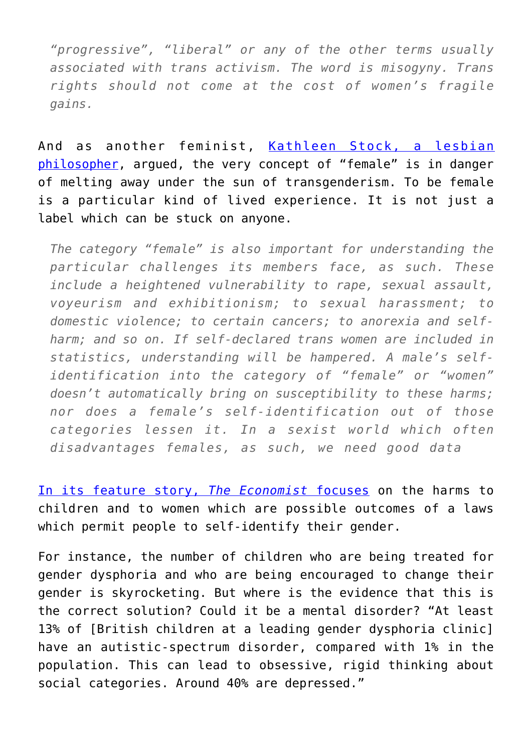*"progressive", "liberal" or any of the other terms usually associated with trans activism. The word is misogyny. Trans rights should not come at the cost of women's fragile gains.* 

And as another feminist, [Kathleen Stock, a lesbian](https://www.economist.com/open-future/2018/07/06/changing-the-concept-of-woman-will-cause-unintended-harms) [philosopher,](https://www.economist.com/open-future/2018/07/06/changing-the-concept-of-woman-will-cause-unintended-harms) argued, the very concept of "female" is in danger of melting away under the sun of transgenderism. To be female is a particular kind of lived experience. It is not just a label which can be stuck on anyone.

*The category "female" is also important for understanding the particular challenges its members face, as such. These include a heightened vulnerability to rape, sexual assault, voyeurism and exhibitionism; to sexual harassment; to domestic violence; to certain cancers; to anorexia and selfharm; and so on. If self-declared trans women are included in statistics, understanding will be hampered. A male's selfidentification into the category of "female" or "women" doesn't automatically bring on susceptibility to these harms; nor does a female's self-identification out of those categories lessen it. In a sexist world which often disadvantages females, as such, we need good data*

[In its feature story,](https://www.economist.com/briefing/2018/10/27/transgender-politics-focuses-on-who-determines-someones-gender) *[The Economist](https://www.economist.com/briefing/2018/10/27/transgender-politics-focuses-on-who-determines-someones-gender)* [focuses](https://www.economist.com/briefing/2018/10/27/transgender-politics-focuses-on-who-determines-someones-gender) on the harms to children and to women which are possible outcomes of a laws which permit people to self-identify their gender.

For instance, the number of children who are being treated for gender dysphoria and who are being encouraged to change their gender is skyrocketing. But where is the evidence that this is the correct solution? Could it be a mental disorder? "At least 13% of [British children at a leading gender dysphoria clinic] have an autistic-spectrum disorder, compared with 1% in the population. This can lead to obsessive, rigid thinking about social categories. Around 40% are depressed."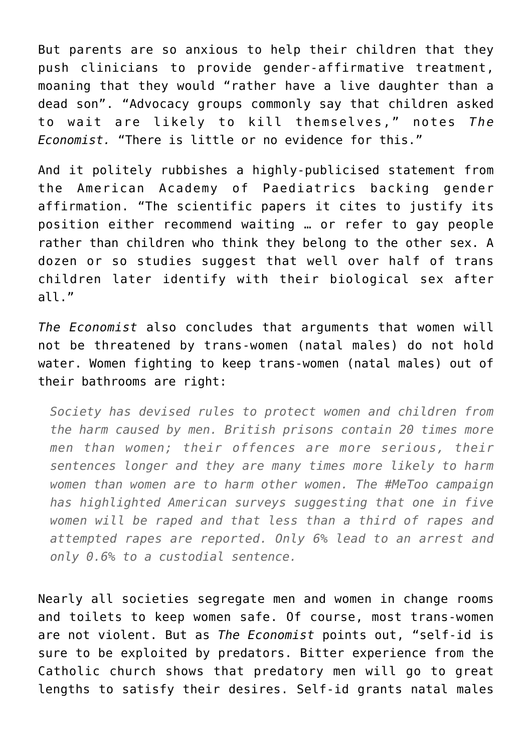But parents are so anxious to help their children that they push clinicians to provide gender-affirmative treatment, moaning that they would "rather have a live daughter than a dead son". "Advocacy groups commonly say that children asked to wait are likely to kill themselves," notes *The Economist.* "There is little or no evidence for this."

And it politely rubbishes a highly-publicised statement from the American Academy of Paediatrics backing gender affirmation. "The scientific papers it cites to justify its position either recommend waiting … or refer to gay people rather than children who think they belong to the other sex. A dozen or so studies suggest that well over half of trans children later identify with their biological sex after all."

*The Economist* also concludes that arguments that women will not be threatened by trans-women (natal males) do not hold water. Women fighting to keep trans-women (natal males) out of their bathrooms are right:

*Society has devised rules to protect women and children from the harm caused by men. British prisons contain 20 times more men than women; their offences are more serious, their sentences longer and they are many times more likely to harm women than women are to harm other women. The #MeToo campaign has highlighted American surveys suggesting that one in five women will be raped and that less than a third of rapes and attempted rapes are reported. Only 6% lead to an arrest and only 0.6% to a custodial sentence.* 

Nearly all societies segregate men and women in change rooms and toilets to keep women safe. Of course, most trans-women are not violent. But as *The Economist* points out, "self-id is sure to be exploited by predators. Bitter experience from the Catholic church shows that predatory men will go to great lengths to satisfy their desires. Self-id grants natal males